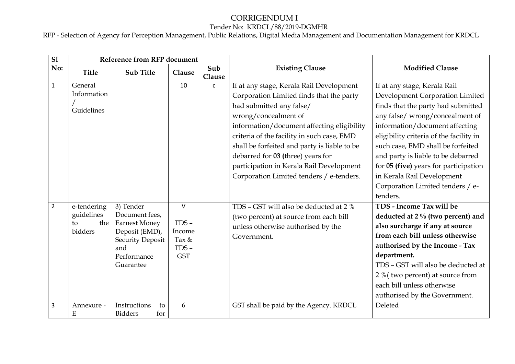## CORRIGENDUM I Tender No: KRDCL/88/2019-DGMHR

| $\overline{sl}$ | <b>Reference from RFP document</b>                |                                                                                                                                     |                                                               |               |                                                                                                                                                                                                                                                                                                                                                                                                                   |                                                                                                                                                                                                                                                                                                                                                                                                                         |
|-----------------|---------------------------------------------------|-------------------------------------------------------------------------------------------------------------------------------------|---------------------------------------------------------------|---------------|-------------------------------------------------------------------------------------------------------------------------------------------------------------------------------------------------------------------------------------------------------------------------------------------------------------------------------------------------------------------------------------------------------------------|-------------------------------------------------------------------------------------------------------------------------------------------------------------------------------------------------------------------------------------------------------------------------------------------------------------------------------------------------------------------------------------------------------------------------|
| No:             | <b>Title</b>                                      | <b>Sub Title</b>                                                                                                                    | Clause                                                        | Sub<br>Clause | <b>Existing Clause</b>                                                                                                                                                                                                                                                                                                                                                                                            | <b>Modified Clause</b>                                                                                                                                                                                                                                                                                                                                                                                                  |
| $\mathbf{1}$    | General<br>Information<br>Guidelines              |                                                                                                                                     | 10                                                            | $\mathsf{c}$  | If at any stage, Kerala Rail Development<br>Corporation Limited finds that the party<br>had submitted any false/<br>wrong/concealment of<br>information/document affecting eligibility<br>criteria of the facility in such case, EMD<br>shall be forfeited and party is liable to be<br>debarred for 03 (three) years for<br>participation in Kerala Rail Development<br>Corporation Limited tenders / e-tenders. | If at any stage, Kerala Rail<br>Development Corporation Limited<br>finds that the party had submitted<br>any false/ wrong/concealment of<br>information/document affecting<br>eligibility criteria of the facility in<br>such case, EMD shall be forfeited<br>and party is liable to be debarred<br>for 05 (five) years for participation<br>in Kerala Rail Development<br>Corporation Limited tenders / e-<br>tenders. |
| $\overline{2}$  | e-tendering<br>guidelines<br>the<br>to<br>bidders | 3) Tender<br>Document fees,<br><b>Earnest Money</b><br>Deposit (EMD),<br><b>Security Deposit</b><br>and<br>Performance<br>Guarantee | $\vee$<br>$TDS -$<br>Income<br>Tax &<br>$TDS -$<br><b>GST</b> |               | TDS - GST will also be deducted at 2 %<br>(two percent) at source from each bill<br>unless otherwise authorised by the<br>Government.                                                                                                                                                                                                                                                                             | TDS - Income Tax will be<br>deducted at 2 % (two percent) and<br>also surcharge if any at source<br>from each bill unless otherwise<br>authorised by the Income - Tax<br>department.<br>TDS - GST will also be deducted at<br>2 % (two percent) at source from<br>each bill unless otherwise<br>authorised by the Government.                                                                                           |
| 3               | Annexure -<br>E                                   | Instructions<br>to<br><b>Bidders</b><br>for                                                                                         | 6                                                             |               | GST shall be paid by the Agency. KRDCL                                                                                                                                                                                                                                                                                                                                                                            | Deleted                                                                                                                                                                                                                                                                                                                                                                                                                 |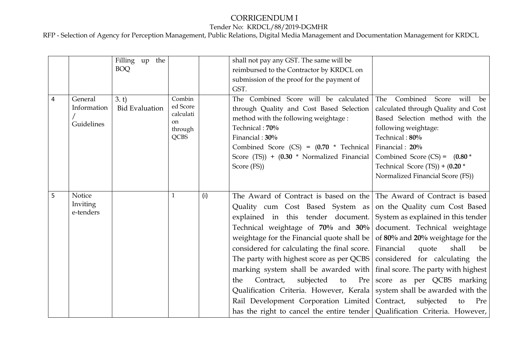## CORRIGENDUM I Tender No: KRDCL/88/2019-DGMHR

|   |                                      | Filling up the<br><b>BOQ</b>   |                                                                            |     | shall not pay any GST. The same will be<br>reimbursed to the Contractor by KRDCL on<br>submission of the proof for the payment of<br>GST.                                                                                                                                                                                                                                                                                                                                                                                                                                                                                                                                                                                                                                                                                                                                |                                                                                                                                                                                                                                                                                               |
|---|--------------------------------------|--------------------------------|----------------------------------------------------------------------------|-----|--------------------------------------------------------------------------------------------------------------------------------------------------------------------------------------------------------------------------------------------------------------------------------------------------------------------------------------------------------------------------------------------------------------------------------------------------------------------------------------------------------------------------------------------------------------------------------------------------------------------------------------------------------------------------------------------------------------------------------------------------------------------------------------------------------------------------------------------------------------------------|-----------------------------------------------------------------------------------------------------------------------------------------------------------------------------------------------------------------------------------------------------------------------------------------------|
| 4 | General<br>Information<br>Guidelines | 3. t)<br><b>Bid Evaluation</b> | Combin<br>ed Score<br>calculati<br><sub>on</sub><br>through<br><b>QCBS</b> |     | The Combined Score will be calculated<br>through Quality and Cost Based Selection<br>method with the following weightage :<br>Technical: 70%<br>Financial: 30%<br>Combined Score (CS) = $(0.70 * Technical)$<br>Score (TS)) + $(0.30 * Normalized Financial)$<br>Score (FS))                                                                                                                                                                                                                                                                                                                                                                                                                                                                                                                                                                                             | Score will<br>Combined<br>The<br>be<br>calculated through Quality and Cost<br>Based Selection method with the<br>following weightage:<br>Technical: 80%<br>Financial: 20%<br>Combined Score (CS) = $(0.80 \times$<br>Technical Score $(TS)$ ) + $(0.20$ *<br>Normalized Financial Score (FS)) |
| 5 | Notice<br>Inviting<br>e-tenders      |                                | 1                                                                          | (i) | The Award of Contract is based on the The Award of Contract is based<br>Quality cum Cost Based System as on the Quality cum Cost Based<br>explained in this tender document. System as explained in this tender<br>Technical weightage of 70% and 30% document. Technical weightage<br>weightage for the Financial quote shall be $\vert$ of 80% and 20% weightage for the<br>considered for calculating the final score. Financial<br>The party with highest score as per QCBS   considered for calculating the<br>marking system shall be awarded with $\frac{1}{1}$ final score. The party with highest<br>Contract,<br>subjected to<br>the<br>Qualification Criteria. However, Kerala   system shall be awarded with the<br>Rail Development Corporation Limited   Contract, subjected<br>has the right to cancel the entire tender Qualification Criteria. However, | quote<br>shall<br>be<br>Pre score as per QCBS marking<br>Pre<br>to                                                                                                                                                                                                                            |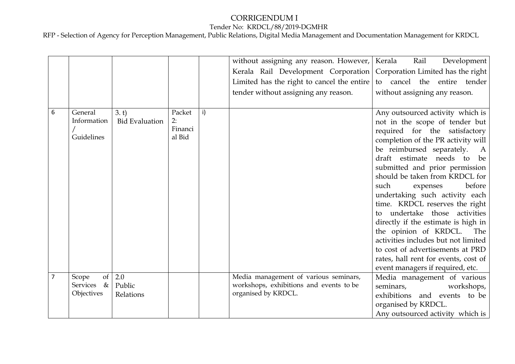# CORRIGENDUM I

#### Tender No: KRDCL/88/2019-DGMHR

|   |                         |                       |         |    | without assigning any reason. However,   Kerala                                | Rail<br>Development                  |
|---|-------------------------|-----------------------|---------|----|--------------------------------------------------------------------------------|--------------------------------------|
|   |                         |                       |         |    | Kerala Rail Development Corporation   Corporation Limited has the right        |                                      |
|   |                         |                       |         |    | Limited has the right to cancel the entire $\vert$ to cancel the entire tender |                                      |
|   |                         |                       |         |    | tender without assigning any reason.                                           | without assigning any reason.        |
|   |                         |                       |         |    |                                                                                |                                      |
| 6 | General                 | 3. t)                 | Packet  | i) |                                                                                | Any outsourced activity which is     |
|   | Information             | <b>Bid Evaluation</b> | 2:      |    |                                                                                | not in the scope of tender but       |
|   |                         |                       | Financi |    |                                                                                | required for the satisfactory        |
|   | Guidelines              |                       | al Bid  |    |                                                                                | completion of the PR activity will   |
|   |                         |                       |         |    |                                                                                | be reimbursed separately.<br>A       |
|   |                         |                       |         |    |                                                                                | draft estimate needs to be           |
|   |                         |                       |         |    |                                                                                | submitted and prior permission       |
|   |                         |                       |         |    |                                                                                | should be taken from KRDCL for       |
|   |                         |                       |         |    |                                                                                | before<br>such<br>expenses           |
|   |                         |                       |         |    |                                                                                | undertaking such activity each       |
|   |                         |                       |         |    |                                                                                | time. KRDCL reserves the right       |
|   |                         |                       |         |    |                                                                                | to undertake those activities        |
|   |                         |                       |         |    |                                                                                | directly if the estimate is high in  |
|   |                         |                       |         |    |                                                                                | the opinion of KRDCL. The            |
|   |                         |                       |         |    |                                                                                | activities includes but not limited  |
|   |                         |                       |         |    |                                                                                | to cost of advertisements at PRD     |
|   |                         |                       |         |    |                                                                                | rates, hall rent for events, cost of |
|   |                         |                       |         |    |                                                                                | event managers if required, etc.     |
|   | of<br>Scope             | 2.0                   |         |    | Media management of various seminars,                                          | Media management of various          |
|   | <b>Services</b><br>$\&$ | Public                |         |    | workshops, exhibitions and events to be                                        | seminars,<br>workshops,              |
|   | Objectives              | Relations             |         |    | organised by KRDCL.                                                            | exhibitions and events to be         |
|   |                         |                       |         |    |                                                                                | organised by KRDCL.                  |
|   |                         |                       |         |    |                                                                                | Any outsourced activity which is     |